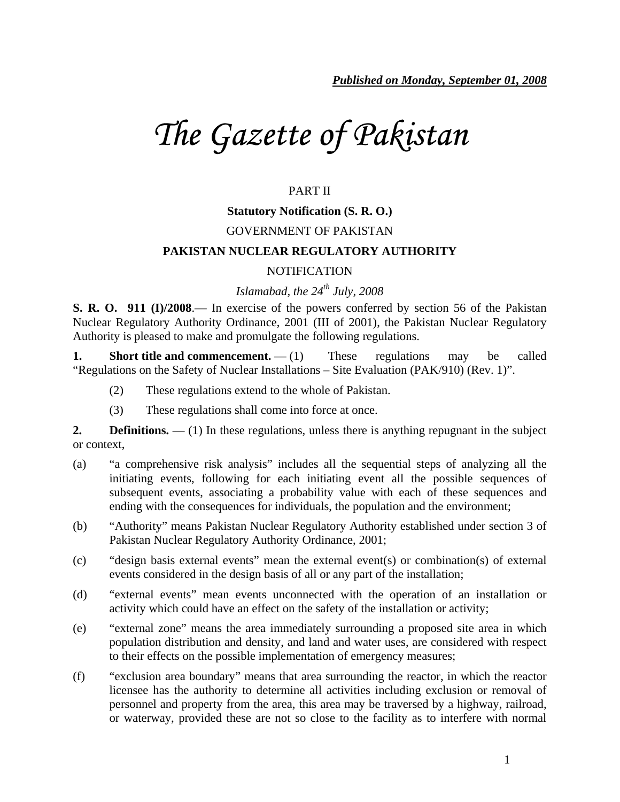# *The Gazette of Pakistan*

# PART II

## **Statutory Notification (S. R. O.)**

## GOVERNMENT OF PAKISTAN

#### **PAKISTAN NUCLEAR REGULATORY AUTHORITY**

#### NOTIFICATION

# *Islamabad, the 24th July, 2008*

**S. R. O. 911 (I)/2008**.— In exercise of the powers conferred by section 56 of the Pakistan Nuclear Regulatory Authority Ordinance, 2001 (III of 2001), the Pakistan Nuclear Regulatory Authority is pleased to make and promulgate the following regulations.

**1.** Short title and commencement.  $- (1)$  These regulations may be called "Regulations on the Safety of Nuclear Installations – Site Evaluation (PAK/910) (Rev. 1)".

- (2) These regulations extend to the whole of Pakistan.
- (3) These regulations shall come into force at once.

**2. Definitions.** — (1) In these regulations, unless there is anything repugnant in the subject or context,

- (a) "a comprehensive risk analysis" includes all the sequential steps of analyzing all the initiating events, following for each initiating event all the possible sequences of subsequent events, associating a probability value with each of these sequences and ending with the consequences for individuals, the population and the environment;
- (b) "Authority" means Pakistan Nuclear Regulatory Authority established under section 3 of Pakistan Nuclear Regulatory Authority Ordinance, 2001;
- (c) "design basis external events" mean the external event(s) or combination(s) of external events considered in the design basis of all or any part of the installation;
- (d) "external events" mean events unconnected with the operation of an installation or activity which could have an effect on the safety of the installation or activity;
- (e) "external zone" means the area immediately surrounding a proposed site area in which population distribution and density, and land and water uses, are considered with respect to their effects on the possible implementation of emergency measures;
- (f) "exclusion area boundary" means that area surrounding the reactor, in which the reactor licensee has the authority to determine all activities including exclusion or removal of personnel and property from the area, this area may be traversed by a highway, railroad, or waterway, provided these are not so close to the facility as to interfere with normal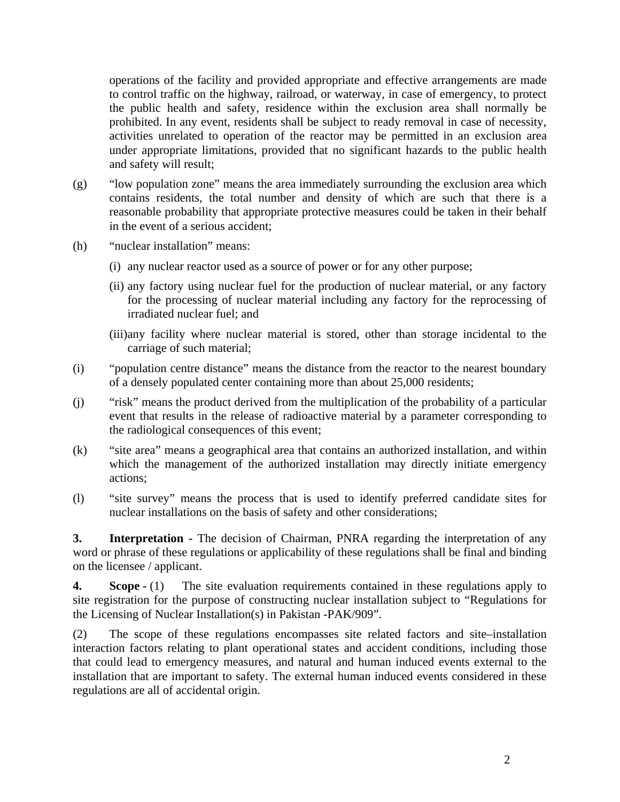operations of the facility and provided appropriate and effective arrangements are made to control traffic on the highway, railroad, or waterway, in case of emergency, to protect the public health and safety, residence within the exclusion area shall normally be prohibited. In any event, residents shall be subject to ready removal in case of necessity, activities unrelated to operation of the reactor may be permitted in an exclusion area under appropriate limitations, provided that no significant hazards to the public health and safety will result;

- (g) "low population zone" means the area immediately surrounding the exclusion area which contains residents, the total number and density of which are such that there is a reasonable probability that appropriate protective measures could be taken in their behalf in the event of a serious accident;
- (h) "nuclear installation" means:
	- (i) any nuclear reactor used as a source of power or for any other purpose;
	- (ii) any factory using nuclear fuel for the production of nuclear material, or any factory for the processing of nuclear material including any factory for the reprocessing of irradiated nuclear fuel; and
	- (iii)any facility where nuclear material is stored, other than storage incidental to the carriage of such material;
- (i) "population centre distance" means the distance from the reactor to the nearest boundary of a densely populated center containing more than about 25,000 residents;
- (j) "risk" means the product derived from the multiplication of the probability of a particular event that results in the release of radioactive material by a parameter corresponding to the radiological consequences of this event;
- (k) "site area" means a geographical area that contains an authorized installation, and within which the management of the authorized installation may directly initiate emergency actions;
- (l) "site survey" means the process that is used to identify preferred candidate sites for nuclear installations on the basis of safety and other considerations;

**3. Interpretation** - The decision of Chairman, PNRA regarding the interpretation of any word or phrase of these regulations or applicability of these regulations shall be final and binding on the licensee / applicant.

**4.** Scope - (1) The site evaluation requirements contained in these regulations apply to site registration for the purpose of constructing nuclear installation subject to "Regulations for the Licensing of Nuclear Installation(s) in Pakistan -PAK/909".

(2) The scope of these regulations encompasses site related factors and site–installation interaction factors relating to plant operational states and accident conditions, including those that could lead to emergency measures, and natural and human induced events external to the installation that are important to safety. The external human induced events considered in these regulations are all of accidental origin.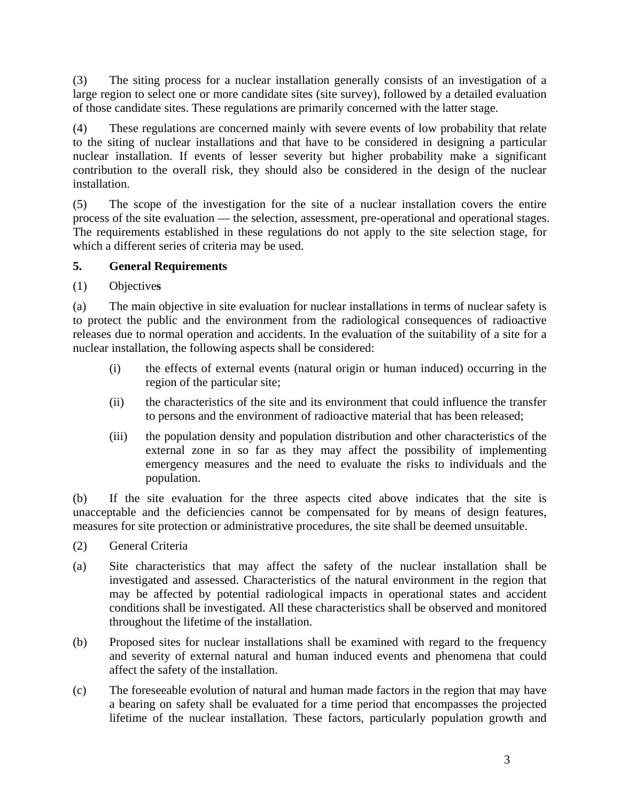(3) The siting process for a nuclear installation generally consists of an investigation of a large region to select one or more candidate sites (site survey), followed by a detailed evaluation of those candidate sites. These regulations are primarily concerned with the latter stage.

(4) These regulations are concerned mainly with severe events of low probability that relate to the siting of nuclear installations and that have to be considered in designing a particular nuclear installation. If events of lesser severity but higher probability make a significant contribution to the overall risk, they should also be considered in the design of the nuclear installation.

(5) The scope of the investigation for the site of a nuclear installation covers the entire process of the site evaluation — the selection, assessment, pre-operational and operational stages. The requirements established in these regulations do not apply to the site selection stage, for which a different series of criteria may be used.

# **5. General Requirements**

# (1) Objective**s**

(a) The main objective in site evaluation for nuclear installations in terms of nuclear safety is to protect the public and the environment from the radiological consequences of radioactive releases due to normal operation and accidents. In the evaluation of the suitability of a site for a nuclear installation, the following aspects shall be considered:

- (i) the effects of external events (natural origin or human induced) occurring in the region of the particular site;
- (ii) the characteristics of the site and its environment that could influence the transfer to persons and the environment of radioactive material that has been released;
- (iii) the population density and population distribution and other characteristics of the external zone in so far as they may affect the possibility of implementing emergency measures and the need to evaluate the risks to individuals and the population.

(b) If the site evaluation for the three aspects cited above indicates that the site is unacceptable and the deficiencies cannot be compensated for by means of design features, measures for site protection or administrative procedures, the site shall be deemed unsuitable.

- (2) General Criteria
- (a) Site characteristics that may affect the safety of the nuclear installation shall be investigated and assessed. Characteristics of the natural environment in the region that may be affected by potential radiological impacts in operational states and accident conditions shall be investigated. All these characteristics shall be observed and monitored throughout the lifetime of the installation.
- (b) Proposed sites for nuclear installations shall be examined with regard to the frequency and severity of external natural and human induced events and phenomena that could affect the safety of the installation.
- (c) The foreseeable evolution of natural and human made factors in the region that may have a bearing on safety shall be evaluated for a time period that encompasses the projected lifetime of the nuclear installation. These factors, particularly population growth and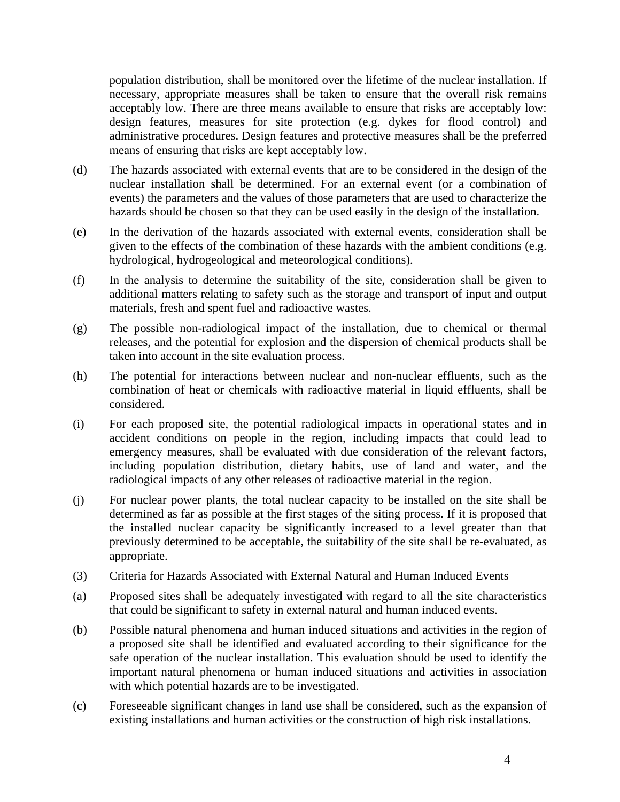population distribution, shall be monitored over the lifetime of the nuclear installation. If necessary, appropriate measures shall be taken to ensure that the overall risk remains acceptably low. There are three means available to ensure that risks are acceptably low: design features, measures for site protection (e.g. dykes for flood control) and administrative procedures. Design features and protective measures shall be the preferred means of ensuring that risks are kept acceptably low.

- (d) The hazards associated with external events that are to be considered in the design of the nuclear installation shall be determined. For an external event (or a combination of events) the parameters and the values of those parameters that are used to characterize the hazards should be chosen so that they can be used easily in the design of the installation.
- (e) In the derivation of the hazards associated with external events, consideration shall be given to the effects of the combination of these hazards with the ambient conditions (e.g. hydrological, hydrogeological and meteorological conditions).
- (f) In the analysis to determine the suitability of the site, consideration shall be given to additional matters relating to safety such as the storage and transport of input and output materials, fresh and spent fuel and radioactive wastes.
- (g) The possible non-radiological impact of the installation, due to chemical or thermal releases, and the potential for explosion and the dispersion of chemical products shall be taken into account in the site evaluation process.
- (h) The potential for interactions between nuclear and non-nuclear effluents, such as the combination of heat or chemicals with radioactive material in liquid effluents, shall be considered.
- (i) For each proposed site, the potential radiological impacts in operational states and in accident conditions on people in the region, including impacts that could lead to emergency measures, shall be evaluated with due consideration of the relevant factors, including population distribution, dietary habits, use of land and water, and the radiological impacts of any other releases of radioactive material in the region.
- (j) For nuclear power plants, the total nuclear capacity to be installed on the site shall be determined as far as possible at the first stages of the siting process. If it is proposed that the installed nuclear capacity be significantly increased to a level greater than that previously determined to be acceptable, the suitability of the site shall be re-evaluated, as appropriate.
- (3) Criteria for Hazards Associated with External Natural and Human Induced Events
- (a) Proposed sites shall be adequately investigated with regard to all the site characteristics that could be significant to safety in external natural and human induced events.
- (b) Possible natural phenomena and human induced situations and activities in the region of a proposed site shall be identified and evaluated according to their significance for the safe operation of the nuclear installation. This evaluation should be used to identify the important natural phenomena or human induced situations and activities in association with which potential hazards are to be investigated.
- (c) Foreseeable significant changes in land use shall be considered, such as the expansion of existing installations and human activities or the construction of high risk installations.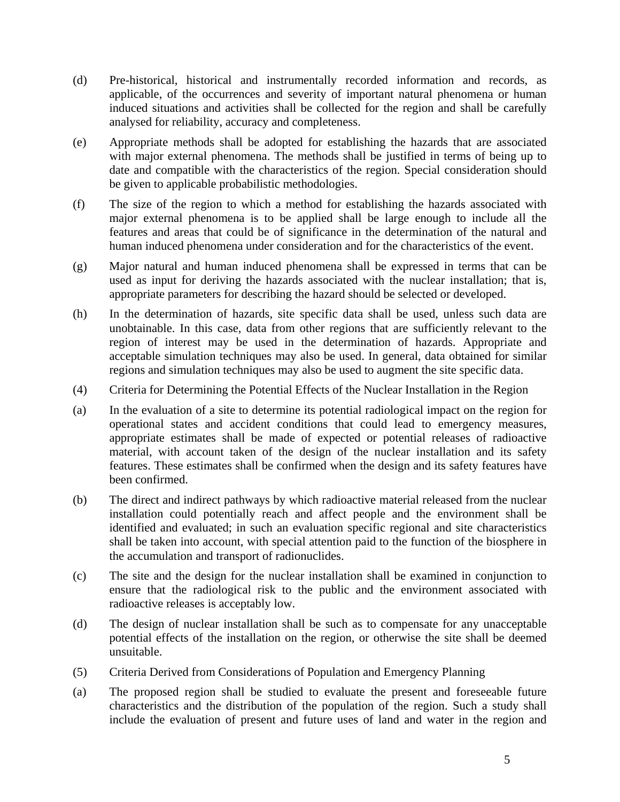- (d) Pre-historical, historical and instrumentally recorded information and records, as applicable, of the occurrences and severity of important natural phenomena or human induced situations and activities shall be collected for the region and shall be carefully analysed for reliability, accuracy and completeness.
- (e) Appropriate methods shall be adopted for establishing the hazards that are associated with major external phenomena. The methods shall be justified in terms of being up to date and compatible with the characteristics of the region. Special consideration should be given to applicable probabilistic methodologies.
- (f) The size of the region to which a method for establishing the hazards associated with major external phenomena is to be applied shall be large enough to include all the features and areas that could be of significance in the determination of the natural and human induced phenomena under consideration and for the characteristics of the event.
- (g) Major natural and human induced phenomena shall be expressed in terms that can be used as input for deriving the hazards associated with the nuclear installation; that is, appropriate parameters for describing the hazard should be selected or developed.
- (h) In the determination of hazards, site specific data shall be used, unless such data are unobtainable. In this case, data from other regions that are sufficiently relevant to the region of interest may be used in the determination of hazards. Appropriate and acceptable simulation techniques may also be used. In general, data obtained for similar regions and simulation techniques may also be used to augment the site specific data.
- (4) Criteria for Determining the Potential Effects of the Nuclear Installation in the Region
- (a) In the evaluation of a site to determine its potential radiological impact on the region for operational states and accident conditions that could lead to emergency measures, appropriate estimates shall be made of expected or potential releases of radioactive material, with account taken of the design of the nuclear installation and its safety features. These estimates shall be confirmed when the design and its safety features have been confirmed.
- (b) The direct and indirect pathways by which radioactive material released from the nuclear installation could potentially reach and affect people and the environment shall be identified and evaluated; in such an evaluation specific regional and site characteristics shall be taken into account, with special attention paid to the function of the biosphere in the accumulation and transport of radionuclides.
- (c) The site and the design for the nuclear installation shall be examined in conjunction to ensure that the radiological risk to the public and the environment associated with radioactive releases is acceptably low.
- (d) The design of nuclear installation shall be such as to compensate for any unacceptable potential effects of the installation on the region, or otherwise the site shall be deemed unsuitable.
- (5) Criteria Derived from Considerations of Population and Emergency Planning
- (a) The proposed region shall be studied to evaluate the present and foreseeable future characteristics and the distribution of the population of the region. Such a study shall include the evaluation of present and future uses of land and water in the region and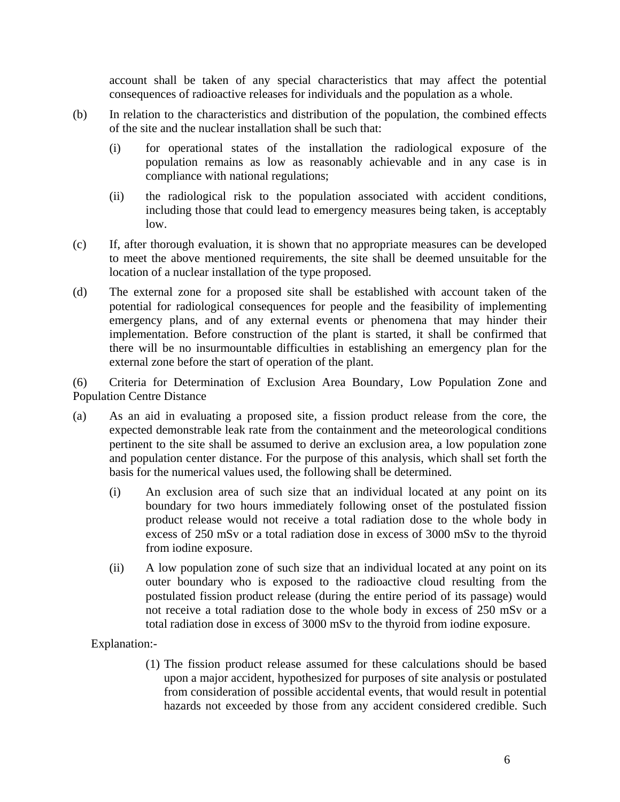account shall be taken of any special characteristics that may affect the potential consequences of radioactive releases for individuals and the population as a whole.

- (b) In relation to the characteristics and distribution of the population, the combined effects of the site and the nuclear installation shall be such that:
	- (i) for operational states of the installation the radiological exposure of the population remains as low as reasonably achievable and in any case is in compliance with national regulations;
	- (ii) the radiological risk to the population associated with accident conditions, including those that could lead to emergency measures being taken, is acceptably low.
- (c) If, after thorough evaluation, it is shown that no appropriate measures can be developed to meet the above mentioned requirements, the site shall be deemed unsuitable for the location of a nuclear installation of the type proposed.
- (d) The external zone for a proposed site shall be established with account taken of the potential for radiological consequences for people and the feasibility of implementing emergency plans, and of any external events or phenomena that may hinder their implementation. Before construction of the plant is started, it shall be confirmed that there will be no insurmountable difficulties in establishing an emergency plan for the external zone before the start of operation of the plant.

(6) Criteria for Determination of Exclusion Area Boundary, Low Population Zone and Population Centre Distance

- (a) As an aid in evaluating a proposed site, a fission product release from the core, the expected demonstrable leak rate from the containment and the meteorological conditions pertinent to the site shall be assumed to derive an exclusion area, a low population zone and population center distance. For the purpose of this analysis, which shall set forth the basis for the numerical values used, the following shall be determined.
	- (i) An exclusion area of such size that an individual located at any point on its boundary for two hours immediately following onset of the postulated fission product release would not receive a total radiation dose to the whole body in excess of 250 mSv or a total radiation dose in excess of 3000 mSv to the thyroid from iodine exposure.
	- (ii) A low population zone of such size that an individual located at any point on its outer boundary who is exposed to the radioactive cloud resulting from the postulated fission product release (during the entire period of its passage) would not receive a total radiation dose to the whole body in excess of 250 mSv or a total radiation dose in excess of 3000 mSv to the thyroid from iodine exposure.

Explanation:-

(1) The fission product release assumed for these calculations should be based upon a major accident, hypothesized for purposes of site analysis or postulated from consideration of possible accidental events, that would result in potential hazards not exceeded by those from any accident considered credible. Such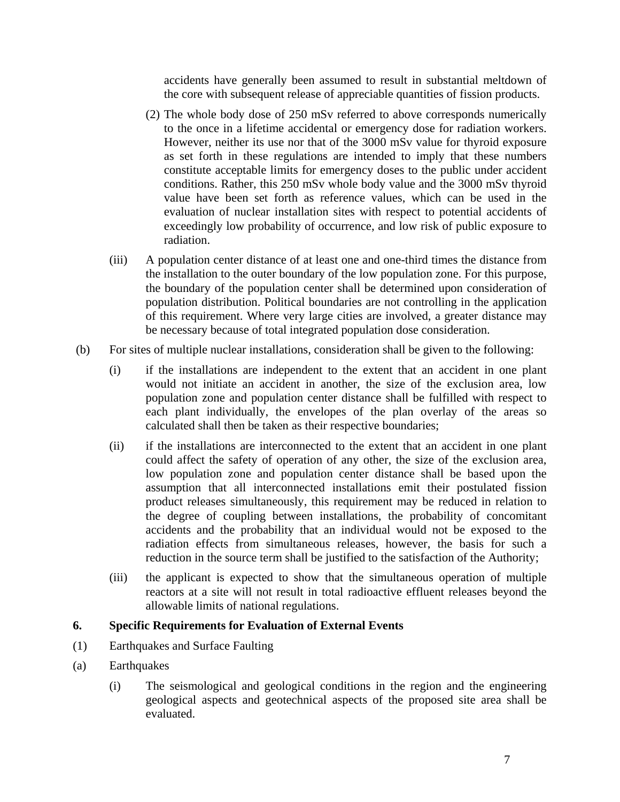accidents have generally been assumed to result in substantial meltdown of the core with subsequent release of appreciable quantities of fission products.

- (2) The whole body dose of 250 mSv referred to above corresponds numerically to the once in a lifetime accidental or emergency dose for radiation workers. However, neither its use nor that of the 3000 mSv value for thyroid exposure as set forth in these regulations are intended to imply that these numbers constitute acceptable limits for emergency doses to the public under accident conditions. Rather, this 250 mSv whole body value and the 3000 mSv thyroid value have been set forth as reference values, which can be used in the evaluation of nuclear installation sites with respect to potential accidents of exceedingly low probability of occurrence, and low risk of public exposure to radiation.
- (iii) A population center distance of at least one and one-third times the distance from the installation to the outer boundary of the low population zone. For this purpose, the boundary of the population center shall be determined upon consideration of population distribution. Political boundaries are not controlling in the application of this requirement. Where very large cities are involved, a greater distance may be necessary because of total integrated population dose consideration.
- (b) For sites of multiple nuclear installations, consideration shall be given to the following:
	- (i) if the installations are independent to the extent that an accident in one plant would not initiate an accident in another, the size of the exclusion area, low population zone and population center distance shall be fulfilled with respect to each plant individually, the envelopes of the plan overlay of the areas so calculated shall then be taken as their respective boundaries;
	- (ii) if the installations are interconnected to the extent that an accident in one plant could affect the safety of operation of any other, the size of the exclusion area, low population zone and population center distance shall be based upon the assumption that all interconnected installations emit their postulated fission product releases simultaneously, this requirement may be reduced in relation to the degree of coupling between installations, the probability of concomitant accidents and the probability that an individual would not be exposed to the radiation effects from simultaneous releases, however, the basis for such a reduction in the source term shall be justified to the satisfaction of the Authority;
	- (iii) the applicant is expected to show that the simultaneous operation of multiple reactors at a site will not result in total radioactive effluent releases beyond the allowable limits of national regulations.

## **6. Specific Requirements for Evaluation of External Events**

- (1) Earthquakes and Surface Faulting
- (a) Earthquakes
	- (i) The seismological and geological conditions in the region and the engineering geological aspects and geotechnical aspects of the proposed site area shall be evaluated.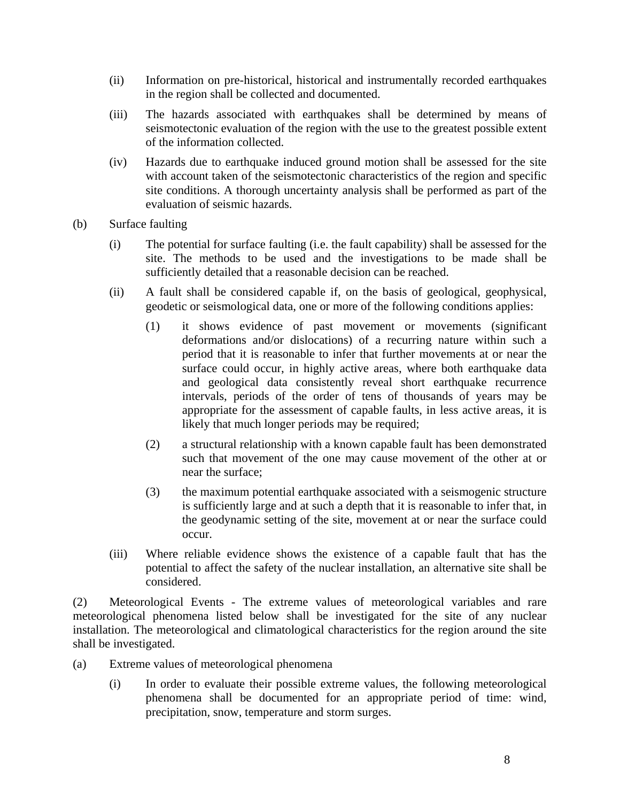- (ii) Information on pre-historical, historical and instrumentally recorded earthquakes in the region shall be collected and documented.
- (iii) The hazards associated with earthquakes shall be determined by means of seismotectonic evaluation of the region with the use to the greatest possible extent of the information collected.
- (iv) Hazards due to earthquake induced ground motion shall be assessed for the site with account taken of the seismotectonic characteristics of the region and specific site conditions. A thorough uncertainty analysis shall be performed as part of the evaluation of seismic hazards.
- (b) Surface faulting
	- (i) The potential for surface faulting (i.e. the fault capability) shall be assessed for the site. The methods to be used and the investigations to be made shall be sufficiently detailed that a reasonable decision can be reached.
	- (ii) A fault shall be considered capable if, on the basis of geological, geophysical, geodetic or seismological data, one or more of the following conditions applies:
		- (1) it shows evidence of past movement or movements (significant deformations and/or dislocations) of a recurring nature within such a period that it is reasonable to infer that further movements at or near the surface could occur, in highly active areas, where both earthquake data and geological data consistently reveal short earthquake recurrence intervals, periods of the order of tens of thousands of years may be appropriate for the assessment of capable faults, in less active areas, it is likely that much longer periods may be required;
		- (2) a structural relationship with a known capable fault has been demonstrated such that movement of the one may cause movement of the other at or near the surface;
		- (3) the maximum potential earthquake associated with a seismogenic structure is sufficiently large and at such a depth that it is reasonable to infer that, in the geodynamic setting of the site, movement at or near the surface could occur.
	- (iii) Where reliable evidence shows the existence of a capable fault that has the potential to affect the safety of the nuclear installation, an alternative site shall be considered.

(2) Meteorological Events - The extreme values of meteorological variables and rare meteorological phenomena listed below shall be investigated for the site of any nuclear installation. The meteorological and climatological characteristics for the region around the site shall be investigated.

- (a) Extreme values of meteorological phenomena
	- (i) In order to evaluate their possible extreme values, the following meteorological phenomena shall be documented for an appropriate period of time: wind, precipitation, snow, temperature and storm surges.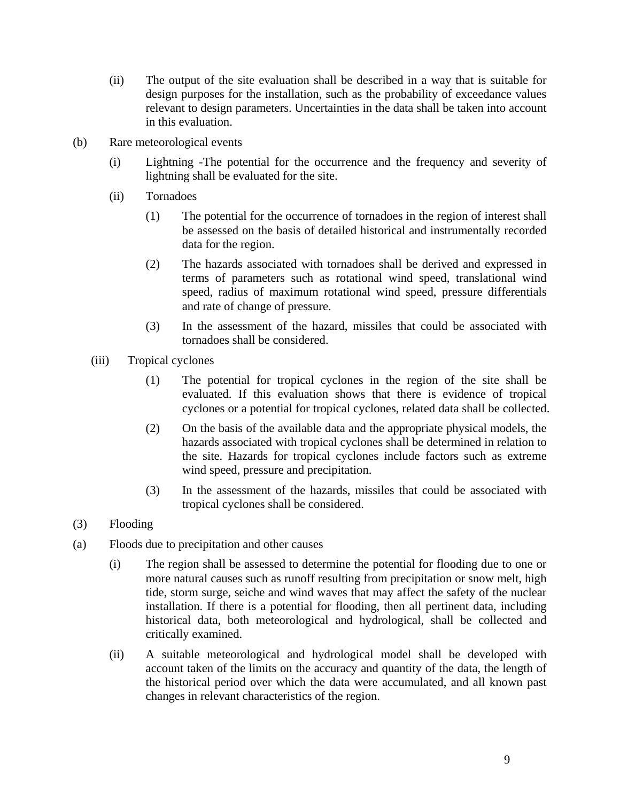- (ii) The output of the site evaluation shall be described in a way that is suitable for design purposes for the installation, such as the probability of exceedance values relevant to design parameters. Uncertainties in the data shall be taken into account in this evaluation.
- (b) Rare meteorological events
	- (i) Lightning -The potential for the occurrence and the frequency and severity of lightning shall be evaluated for the site.
	- (ii) Tornadoes
		- (1) The potential for the occurrence of tornadoes in the region of interest shall be assessed on the basis of detailed historical and instrumentally recorded data for the region.
		- (2) The hazards associated with tornadoes shall be derived and expressed in terms of parameters such as rotational wind speed, translational wind speed, radius of maximum rotational wind speed, pressure differentials and rate of change of pressure.
		- (3) In the assessment of the hazard, missiles that could be associated with tornadoes shall be considered.
	- (iii) Tropical cyclones
		- (1) The potential for tropical cyclones in the region of the site shall be evaluated. If this evaluation shows that there is evidence of tropical cyclones or a potential for tropical cyclones, related data shall be collected.
		- (2) On the basis of the available data and the appropriate physical models, the hazards associated with tropical cyclones shall be determined in relation to the site. Hazards for tropical cyclones include factors such as extreme wind speed, pressure and precipitation.
		- (3) In the assessment of the hazards, missiles that could be associated with tropical cyclones shall be considered.
- (3) Flooding
- (a) Floods due to precipitation and other causes
	- (i) The region shall be assessed to determine the potential for flooding due to one or more natural causes such as runoff resulting from precipitation or snow melt, high tide, storm surge, seiche and wind waves that may affect the safety of the nuclear installation. If there is a potential for flooding, then all pertinent data, including historical data, both meteorological and hydrological, shall be collected and critically examined.
	- (ii) A suitable meteorological and hydrological model shall be developed with account taken of the limits on the accuracy and quantity of the data, the length of the historical period over which the data were accumulated, and all known past changes in relevant characteristics of the region.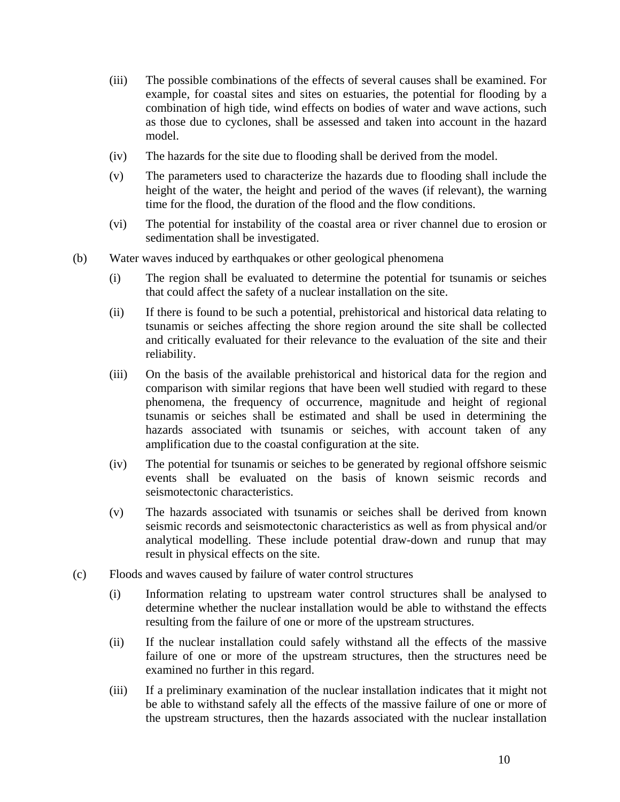- (iii) The possible combinations of the effects of several causes shall be examined. For example, for coastal sites and sites on estuaries, the potential for flooding by a combination of high tide, wind effects on bodies of water and wave actions, such as those due to cyclones, shall be assessed and taken into account in the hazard model.
- (iv) The hazards for the site due to flooding shall be derived from the model.
- (v) The parameters used to characterize the hazards due to flooding shall include the height of the water, the height and period of the waves (if relevant), the warning time for the flood, the duration of the flood and the flow conditions.
- (vi) The potential for instability of the coastal area or river channel due to erosion or sedimentation shall be investigated.
- (b) Water waves induced by earthquakes or other geological phenomena
	- (i) The region shall be evaluated to determine the potential for tsunamis or seiches that could affect the safety of a nuclear installation on the site.
	- (ii) If there is found to be such a potential, prehistorical and historical data relating to tsunamis or seiches affecting the shore region around the site shall be collected and critically evaluated for their relevance to the evaluation of the site and their reliability.
	- (iii) On the basis of the available prehistorical and historical data for the region and comparison with similar regions that have been well studied with regard to these phenomena, the frequency of occurrence, magnitude and height of regional tsunamis or seiches shall be estimated and shall be used in determining the hazards associated with tsunamis or seiches, with account taken of any amplification due to the coastal configuration at the site.
	- (iv) The potential for tsunamis or seiches to be generated by regional offshore seismic events shall be evaluated on the basis of known seismic records and seismotectonic characteristics.
	- (v) The hazards associated with tsunamis or seiches shall be derived from known seismic records and seismotectonic characteristics as well as from physical and/or analytical modelling. These include potential draw-down and runup that may result in physical effects on the site.
- (c) Floods and waves caused by failure of water control structures
	- (i) Information relating to upstream water control structures shall be analysed to determine whether the nuclear installation would be able to withstand the effects resulting from the failure of one or more of the upstream structures.
	- (ii) If the nuclear installation could safely withstand all the effects of the massive failure of one or more of the upstream structures, then the structures need be examined no further in this regard.
	- (iii) If a preliminary examination of the nuclear installation indicates that it might not be able to withstand safely all the effects of the massive failure of one or more of the upstream structures, then the hazards associated with the nuclear installation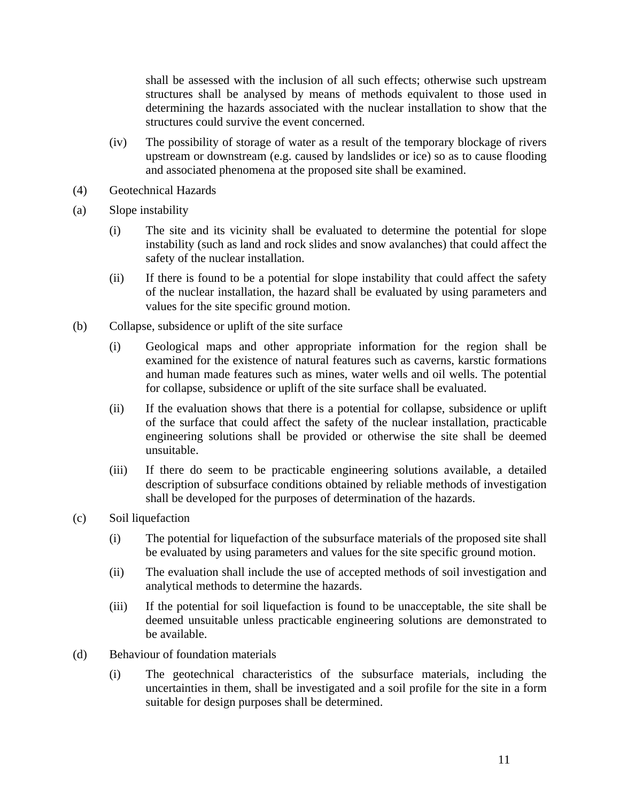shall be assessed with the inclusion of all such effects; otherwise such upstream structures shall be analysed by means of methods equivalent to those used in determining the hazards associated with the nuclear installation to show that the structures could survive the event concerned.

- (iv) The possibility of storage of water as a result of the temporary blockage of rivers upstream or downstream (e.g. caused by landslides or ice) so as to cause flooding and associated phenomena at the proposed site shall be examined.
- (4) Geotechnical Hazards
- (a) Slope instability
	- (i) The site and its vicinity shall be evaluated to determine the potential for slope instability (such as land and rock slides and snow avalanches) that could affect the safety of the nuclear installation.
	- (ii) If there is found to be a potential for slope instability that could affect the safety of the nuclear installation, the hazard shall be evaluated by using parameters and values for the site specific ground motion.
- (b) Collapse, subsidence or uplift of the site surface
	- (i) Geological maps and other appropriate information for the region shall be examined for the existence of natural features such as caverns, karstic formations and human made features such as mines, water wells and oil wells. The potential for collapse, subsidence or uplift of the site surface shall be evaluated.
	- (ii) If the evaluation shows that there is a potential for collapse, subsidence or uplift of the surface that could affect the safety of the nuclear installation, practicable engineering solutions shall be provided or otherwise the site shall be deemed unsuitable.
	- (iii) If there do seem to be practicable engineering solutions available, a detailed description of subsurface conditions obtained by reliable methods of investigation shall be developed for the purposes of determination of the hazards.
- (c) Soil liquefaction
	- (i) The potential for liquefaction of the subsurface materials of the proposed site shall be evaluated by using parameters and values for the site specific ground motion.
	- (ii) The evaluation shall include the use of accepted methods of soil investigation and analytical methods to determine the hazards.
	- (iii) If the potential for soil liquefaction is found to be unacceptable, the site shall be deemed unsuitable unless practicable engineering solutions are demonstrated to be available.
- (d) Behaviour of foundation materials
	- (i) The geotechnical characteristics of the subsurface materials, including the uncertainties in them, shall be investigated and a soil profile for the site in a form suitable for design purposes shall be determined.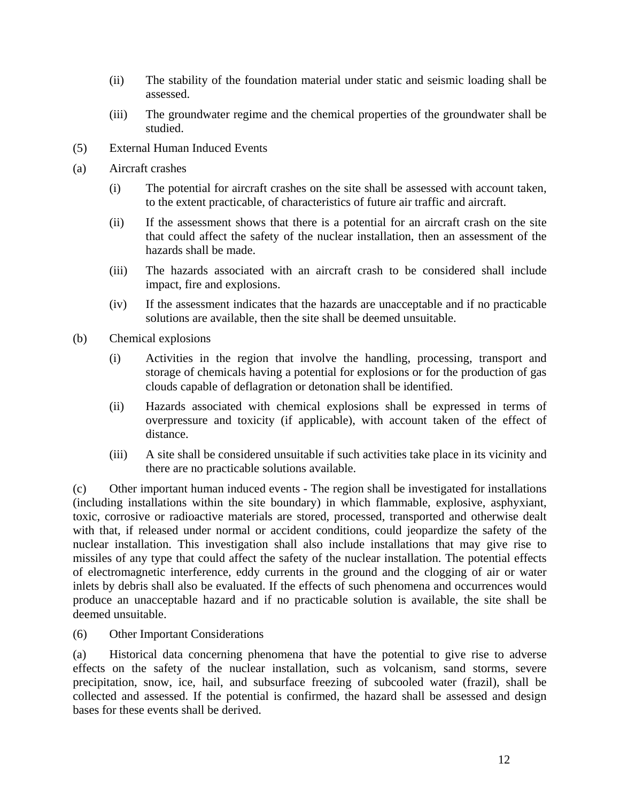- (ii) The stability of the foundation material under static and seismic loading shall be assessed.
- (iii) The groundwater regime and the chemical properties of the groundwater shall be studied.
- (5) External Human Induced Events
- (a) Aircraft crashes
	- (i) The potential for aircraft crashes on the site shall be assessed with account taken, to the extent practicable, of characteristics of future air traffic and aircraft.
	- (ii) If the assessment shows that there is a potential for an aircraft crash on the site that could affect the safety of the nuclear installation, then an assessment of the hazards shall be made.
	- (iii) The hazards associated with an aircraft crash to be considered shall include impact, fire and explosions.
	- (iv) If the assessment indicates that the hazards are unacceptable and if no practicable solutions are available, then the site shall be deemed unsuitable.
- (b) Chemical explosions
	- (i) Activities in the region that involve the handling, processing, transport and storage of chemicals having a potential for explosions or for the production of gas clouds capable of deflagration or detonation shall be identified.
	- (ii) Hazards associated with chemical explosions shall be expressed in terms of overpressure and toxicity (if applicable), with account taken of the effect of distance.
	- (iii) A site shall be considered unsuitable if such activities take place in its vicinity and there are no practicable solutions available.

(c) Other important human induced events - The region shall be investigated for installations (including installations within the site boundary) in which flammable, explosive, asphyxiant, toxic, corrosive or radioactive materials are stored, processed, transported and otherwise dealt with that, if released under normal or accident conditions, could jeopardize the safety of the nuclear installation. This investigation shall also include installations that may give rise to missiles of any type that could affect the safety of the nuclear installation. The potential effects of electromagnetic interference, eddy currents in the ground and the clogging of air or water inlets by debris shall also be evaluated. If the effects of such phenomena and occurrences would produce an unacceptable hazard and if no practicable solution is available, the site shall be deemed unsuitable.

(6) Other Important Considerations

(a) Historical data concerning phenomena that have the potential to give rise to adverse effects on the safety of the nuclear installation, such as volcanism, sand storms, severe precipitation, snow, ice, hail, and subsurface freezing of subcooled water (frazil), shall be collected and assessed. If the potential is confirmed, the hazard shall be assessed and design bases for these events shall be derived.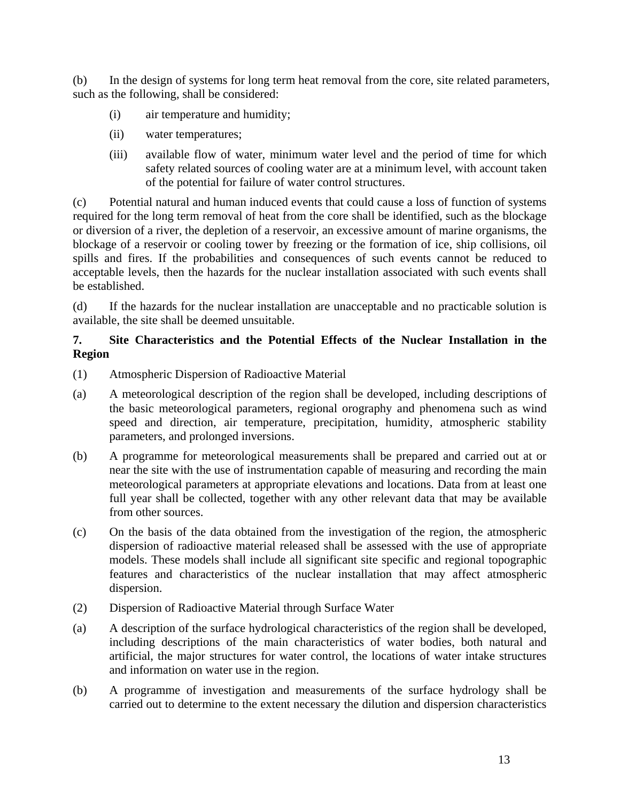(b) In the design of systems for long term heat removal from the core, site related parameters, such as the following, shall be considered:

- (i) air temperature and humidity;
- (ii) water temperatures;
- (iii) available flow of water, minimum water level and the period of time for which safety related sources of cooling water are at a minimum level, with account taken of the potential for failure of water control structures.

(c) Potential natural and human induced events that could cause a loss of function of systems required for the long term removal of heat from the core shall be identified, such as the blockage or diversion of a river, the depletion of a reservoir, an excessive amount of marine organisms, the blockage of a reservoir or cooling tower by freezing or the formation of ice, ship collisions, oil spills and fires. If the probabilities and consequences of such events cannot be reduced to acceptable levels, then the hazards for the nuclear installation associated with such events shall be established.

(d) If the hazards for the nuclear installation are unacceptable and no practicable solution is available, the site shall be deemed unsuitable.

## **7. Site Characteristics and the Potential Effects of the Nuclear Installation in the Region**

- (1) Atmospheric Dispersion of Radioactive Material
- (a) A meteorological description of the region shall be developed, including descriptions of the basic meteorological parameters, regional orography and phenomena such as wind speed and direction, air temperature, precipitation, humidity, atmospheric stability parameters, and prolonged inversions.
- (b) A programme for meteorological measurements shall be prepared and carried out at or near the site with the use of instrumentation capable of measuring and recording the main meteorological parameters at appropriate elevations and locations. Data from at least one full year shall be collected, together with any other relevant data that may be available from other sources.
- (c) On the basis of the data obtained from the investigation of the region, the atmospheric dispersion of radioactive material released shall be assessed with the use of appropriate models. These models shall include all significant site specific and regional topographic features and characteristics of the nuclear installation that may affect atmospheric dispersion.
- (2) Dispersion of Radioactive Material through Surface Water
- (a) A description of the surface hydrological characteristics of the region shall be developed, including descriptions of the main characteristics of water bodies, both natural and artificial, the major structures for water control, the locations of water intake structures and information on water use in the region.
- (b) A programme of investigation and measurements of the surface hydrology shall be carried out to determine to the extent necessary the dilution and dispersion characteristics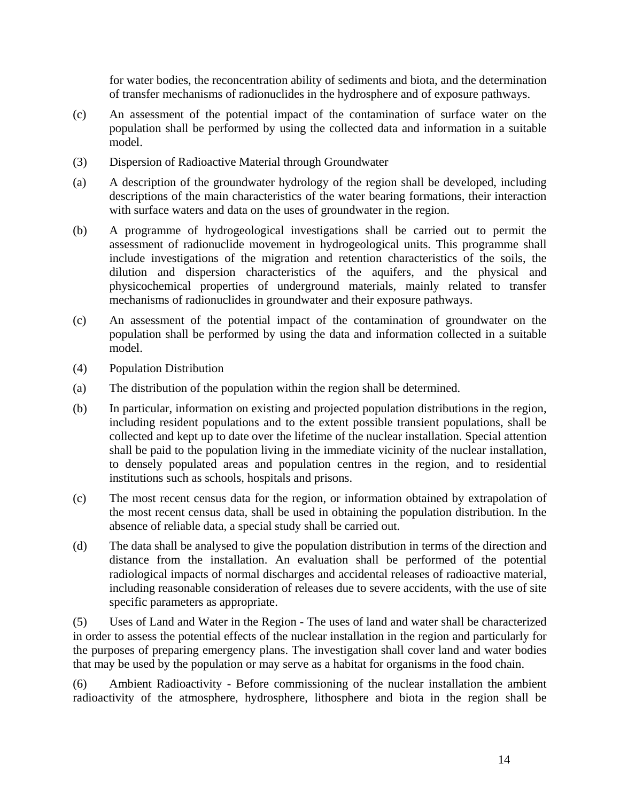for water bodies, the reconcentration ability of sediments and biota, and the determination of transfer mechanisms of radionuclides in the hydrosphere and of exposure pathways.

- (c) An assessment of the potential impact of the contamination of surface water on the population shall be performed by using the collected data and information in a suitable model.
- (3) Dispersion of Radioactive Material through Groundwater
- (a) A description of the groundwater hydrology of the region shall be developed, including descriptions of the main characteristics of the water bearing formations, their interaction with surface waters and data on the uses of groundwater in the region.
- (b) A programme of hydrogeological investigations shall be carried out to permit the assessment of radionuclide movement in hydrogeological units. This programme shall include investigations of the migration and retention characteristics of the soils, the dilution and dispersion characteristics of the aquifers, and the physical and physicochemical properties of underground materials, mainly related to transfer mechanisms of radionuclides in groundwater and their exposure pathways.
- (c) An assessment of the potential impact of the contamination of groundwater on the population shall be performed by using the data and information collected in a suitable model.
- (4) Population Distribution
- (a) The distribution of the population within the region shall be determined.
- (b) In particular, information on existing and projected population distributions in the region, including resident populations and to the extent possible transient populations, shall be collected and kept up to date over the lifetime of the nuclear installation. Special attention shall be paid to the population living in the immediate vicinity of the nuclear installation, to densely populated areas and population centres in the region, and to residential institutions such as schools, hospitals and prisons.
- (c) The most recent census data for the region, or information obtained by extrapolation of the most recent census data, shall be used in obtaining the population distribution. In the absence of reliable data, a special study shall be carried out.
- (d) The data shall be analysed to give the population distribution in terms of the direction and distance from the installation. An evaluation shall be performed of the potential radiological impacts of normal discharges and accidental releases of radioactive material, including reasonable consideration of releases due to severe accidents, with the use of site specific parameters as appropriate.

(5) Uses of Land and Water in the Region - The uses of land and water shall be characterized in order to assess the potential effects of the nuclear installation in the region and particularly for the purposes of preparing emergency plans. The investigation shall cover land and water bodies that may be used by the population or may serve as a habitat for organisms in the food chain.

(6) Ambient Radioactivity - Before commissioning of the nuclear installation the ambient radioactivity of the atmosphere, hydrosphere, lithosphere and biota in the region shall be